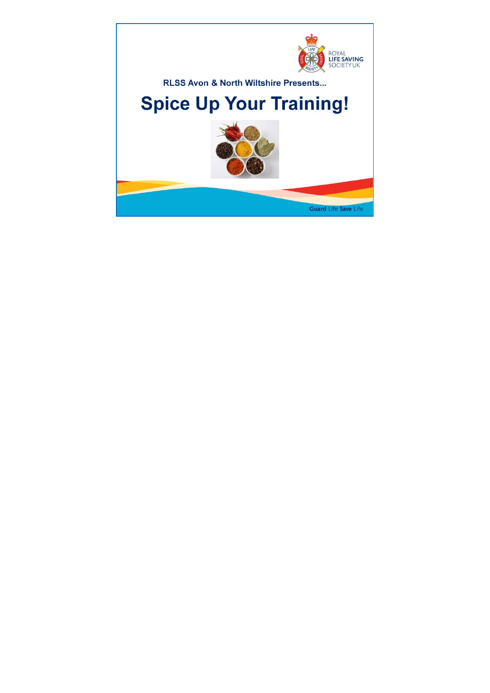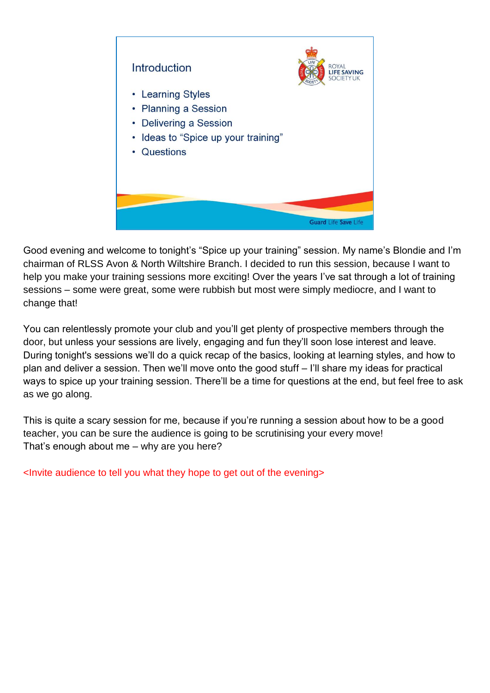

Good evening and welcome to tonight's "Spice up your training" session. My name's Blondie and I'm chairman of RLSS Avon & North Wiltshire Branch. I decided to run this session, because I want to help you make your training sessions more exciting! Over the years I've sat through a lot of training sessions – some were great, some were rubbish but most were simply mediocre, and I want to change that!

You can relentlessly promote your club and you'll get plenty of prospective members through the door, but unless your sessions are lively, engaging and fun they'll soon lose interest and leave. During tonight's sessions we'll do a quick recap of the basics, looking at learning styles, and how to plan and deliver a session. Then we'll move onto the good stuff – I'll share my ideas for practical ways to spice up your training session. There'll be a time for questions at the end, but feel free to ask as we go along.

This is quite a scary session for me, because if you're running a session about how to be a good teacher, you can be sure the audience is going to be scrutinising your every move! That's enough about me – why are you here?

<Invite audience to tell you what they hope to get out of the evening>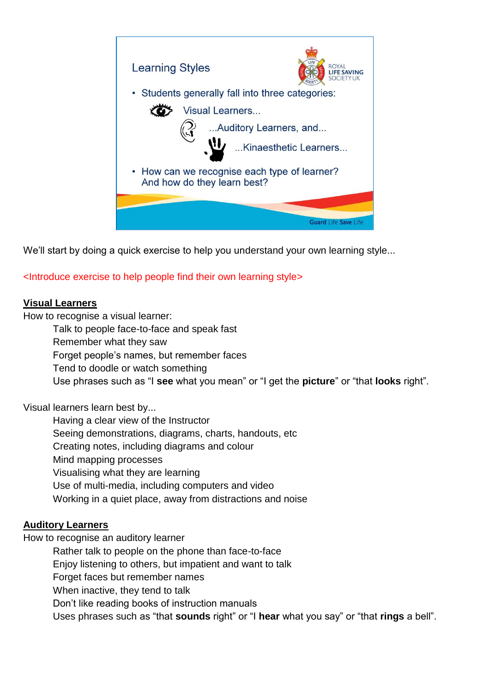

We'll start by doing a quick exercise to help you understand your own learning style...

<Introduce exercise to help people find their own learning style>

### **Visual Learners**

How to recognise a visual learner:

Talk to people face-to-face and speak fast

Remember what they saw

Forget people's names, but remember faces

Tend to doodle or watch something

Use phrases such as "I **see** what you mean" or "I get the **picture**" or "that **looks** right".

Visual learners learn best by...

Having a clear view of the Instructor Seeing demonstrations, diagrams, charts, handouts, etc Creating notes, including diagrams and colour Mind mapping processes Visualising what they are learning Use of multi-media, including computers and video Working in a quiet place, away from distractions and noise

### **Auditory Learners**

How to recognise an auditory learner

Rather talk to people on the phone than face-to-face

Enjoy listening to others, but impatient and want to talk

Forget faces but remember names

When inactive, they tend to talk

Don't like reading books of instruction manuals

Uses phrases such as "that **sounds** right" or "I **hear** what you say" or "that **rings** a bell".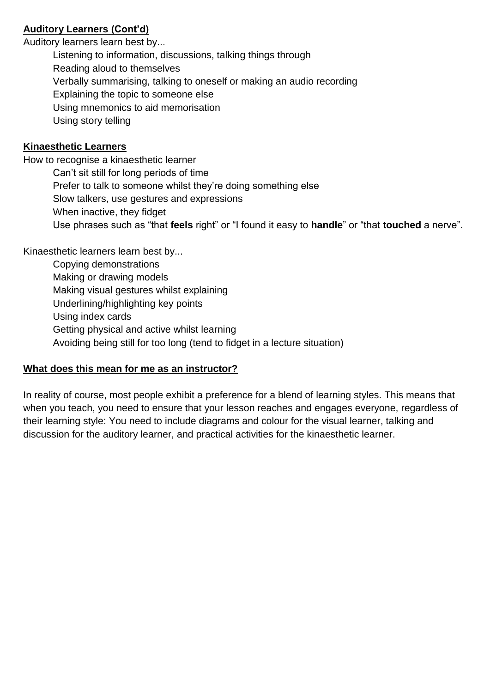## **Auditory Learners (Cont'd)**

Auditory learners learn best by...

Listening to information, discussions, talking things through

Reading aloud to themselves

Verbally summarising, talking to oneself or making an audio recording

Explaining the topic to someone else

Using mnemonics to aid memorisation

Using story telling

# **Kinaesthetic Learners**

How to recognise a kinaesthetic learner Can't sit still for long periods of time Prefer to talk to someone whilst they're doing something else Slow talkers, use gestures and expressions When inactive, they fidget Use phrases such as "that **feels** right" or "I found it easy to **handle**" or "that **touched** a nerve".

Kinaesthetic learners learn best by...

Copying demonstrations Making or drawing models Making visual gestures whilst explaining Underlining/highlighting key points Using index cards Getting physical and active whilst learning Avoiding being still for too long (tend to fidget in a lecture situation)

# **What does this mean for me as an instructor?**

In reality of course, most people exhibit a preference for a blend of learning styles. This means that when you teach, you need to ensure that your lesson reaches and engages everyone, regardless of their learning style: You need to include diagrams and colour for the visual learner, talking and discussion for the auditory learner, and practical activities for the kinaesthetic learner.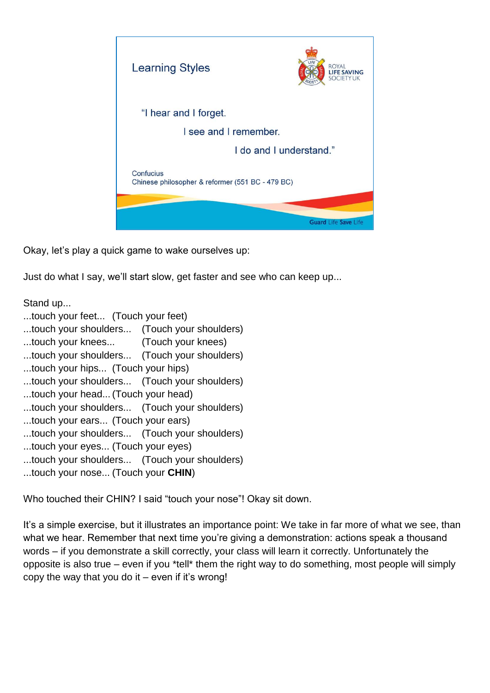

Okay, let's play a quick game to wake ourselves up:

Just do what I say, we'll start slow, get faster and see who can keep up...

Stand up...

- ...touch your feet... (Touch your feet)
- ...touch your shoulders... (Touch your shoulders)
- ...touch your knees... (Touch your knees)
- ...touch your shoulders... (Touch your shoulders)
- ...touch your hips... (Touch your hips)
- ...touch your shoulders... (Touch your shoulders)
- ...touch your head...(Touch your head)
- ...touch your shoulders... (Touch your shoulders)
- ...touch your ears... (Touch your ears)
- ...touch your shoulders... (Touch your shoulders)
- ...touch your eyes... (Touch your eyes)
- ...touch your shoulders... (Touch your shoulders)
- ...touch your nose... (Touch your **CHIN**)

Who touched their CHIN? I said "touch your nose"! Okay sit down.

It's a simple exercise, but it illustrates an importance point: We take in far more of what we see, than what we hear. Remember that next time you're giving a demonstration: actions speak a thousand words – if you demonstrate a skill correctly, your class will learn it correctly. Unfortunately the opposite is also true – even if you \*tell\* them the right way to do something, most people will simply copy the way that you do it  $-$  even if it's wrong!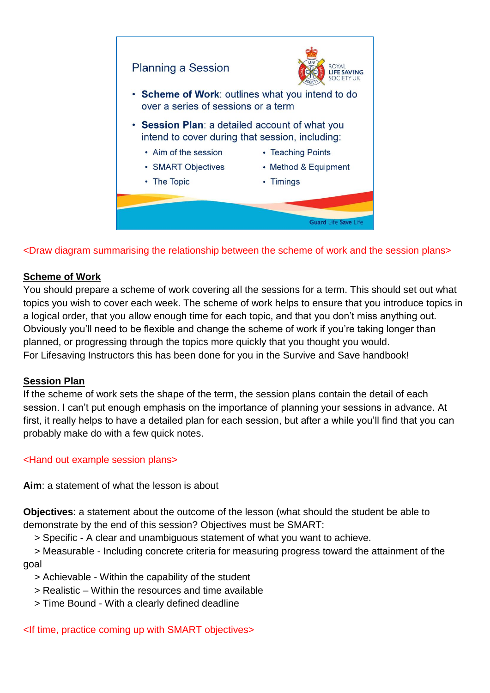

<Draw diagram summarising the relationship between the scheme of work and the session plans>

## **Scheme of Work**

You should prepare a scheme of work covering all the sessions for a term. This should set out what topics you wish to cover each week. The scheme of work helps to ensure that you introduce topics in a logical order, that you allow enough time for each topic, and that you don't miss anything out. Obviously you'll need to be flexible and change the scheme of work if you're taking longer than planned, or progressing through the topics more quickly that you thought you would. For Lifesaving Instructors this has been done for you in the Survive and Save handbook!

### **Session Plan**

If the scheme of work sets the shape of the term, the session plans contain the detail of each session. I can't put enough emphasis on the importance of planning your sessions in advance. At first, it really helps to have a detailed plan for each session, but after a while you'll find that you can probably make do with a few quick notes.

## <Hand out example session plans>

**Aim**: a statement of what the lesson is about

**Objectives**: a statement about the outcome of the lesson (what should the student be able to demonstrate by the end of this session? Objectives must be SMART:

> Specific - A clear and unambiguous statement of what you want to achieve.

 > Measurable - Including concrete criteria for measuring progress toward the attainment of the goal

- > Achievable Within the capability of the student
- > Realistic Within the resources and time available
- > Time Bound With a clearly defined deadline

<If time, practice coming up with SMART objectives>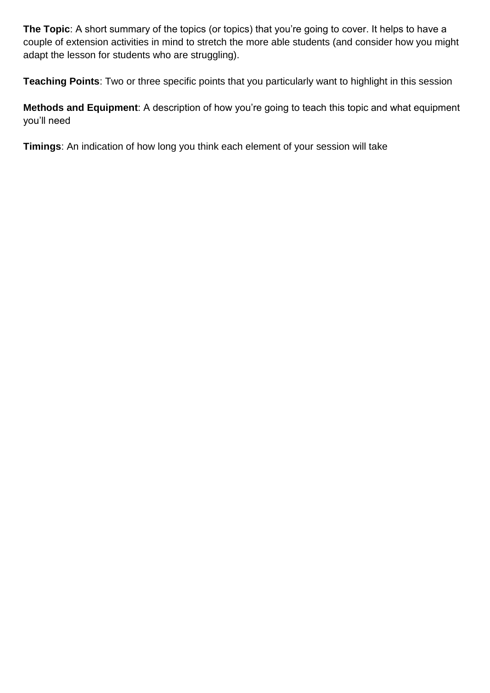**The Topic**: A short summary of the topics (or topics) that you're going to cover. It helps to have a couple of extension activities in mind to stretch the more able students (and consider how you might adapt the lesson for students who are struggling).

**Teaching Points**: Two or three specific points that you particularly want to highlight in this session

**Methods and Equipment**: A description of how you're going to teach this topic and what equipment you'll need

**Timings**: An indication of how long you think each element of your session will take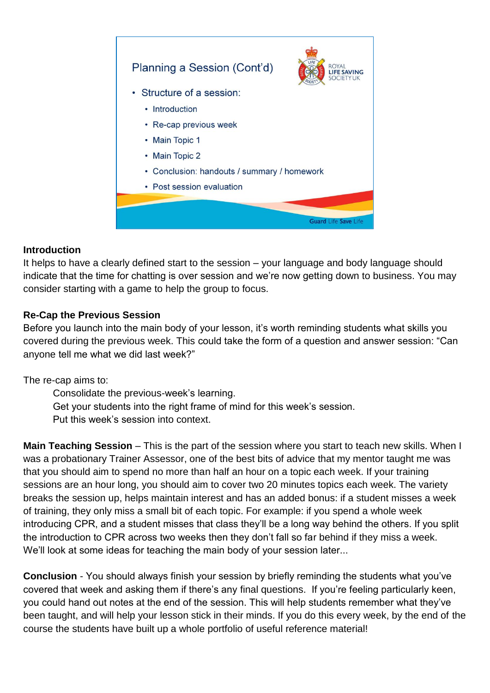

#### **Introduction**

It helps to have a clearly defined start to the session – your language and body language should indicate that the time for chatting is over session and we're now getting down to business. You may consider starting with a game to help the group to focus.

### **Re-Cap the Previous Session**

Before you launch into the main body of your lesson, it's worth reminding students what skills you covered during the previous week. This could take the form of a question and answer session: "Can anyone tell me what we did last week?"

The re-cap aims to:

Consolidate the previous-week's learning.

Get your students into the right frame of mind for this week's session.

Put this week's session into context.

**Main Teaching Session** – This is the part of the session where you start to teach new skills. When I was a probationary Trainer Assessor, one of the best bits of advice that my mentor taught me was that you should aim to spend no more than half an hour on a topic each week. If your training sessions are an hour long, you should aim to cover two 20 minutes topics each week. The variety breaks the session up, helps maintain interest and has an added bonus: if a student misses a week of training, they only miss a small bit of each topic. For example: if you spend a whole week introducing CPR, and a student misses that class they'll be a long way behind the others. If you split the introduction to CPR across two weeks then they don't fall so far behind if they miss a week. We'll look at some ideas for teaching the main body of your session later...

**Conclusion** - You should always finish your session by briefly reminding the students what you've covered that week and asking them if there's any final questions. If you're feeling particularly keen, you could hand out notes at the end of the session. This will help students remember what they've been taught, and will help your lesson stick in their minds. If you do this every week, by the end of the course the students have built up a whole portfolio of useful reference material!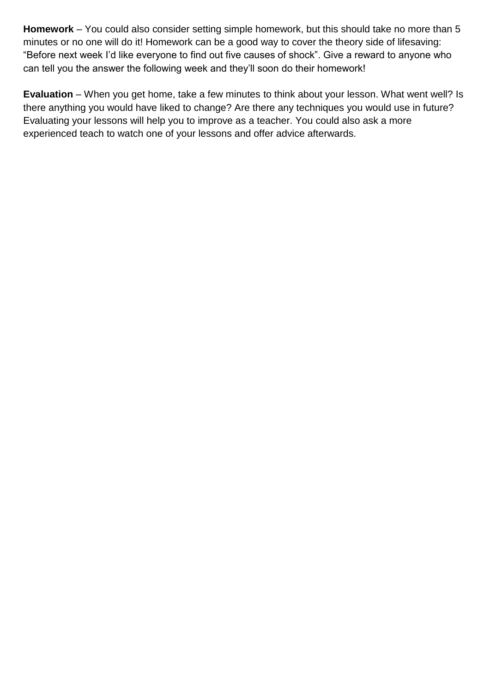**Homework** – You could also consider setting simple homework, but this should take no more than 5 minutes or no one will do it! Homework can be a good way to cover the theory side of lifesaving: "Before next week I'd like everyone to find out five causes of shock". Give a reward to anyone who can tell you the answer the following week and they'll soon do their homework!

**Evaluation** – When you get home, take a few minutes to think about your lesson. What went well? Is there anything you would have liked to change? Are there any techniques you would use in future? Evaluating your lessons will help you to improve as a teacher. You could also ask a more experienced teach to watch one of your lessons and offer advice afterwards.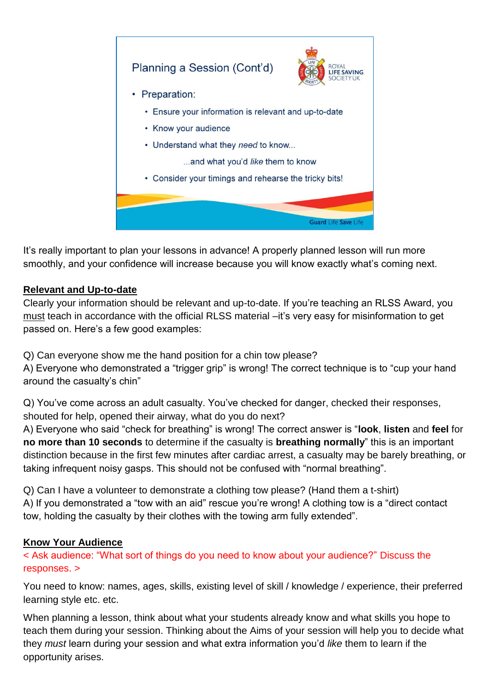

It's really important to plan your lessons in advance! A properly planned lesson will run more smoothly, and your confidence will increase because you will know exactly what's coming next.

## **Relevant and Up-to-date**

Clearly your information should be relevant and up-to-date. If you're teaching an RLSS Award, you must teach in accordance with the official RLSS material –it's very easy for misinformation to get passed on. Here's a few good examples:

Q) Can everyone show me the hand position for a chin tow please?

A) Everyone who demonstrated a "trigger grip" is wrong! The correct technique is to "cup your hand around the casualty's chin"

Q) You've come across an adult casualty. You've checked for danger, checked their responses, shouted for help, opened their airway, what do you do next?

A) Everyone who said "check for breathing" is wrong! The correct answer is "**look**, **listen** and **feel** for **no more than 10 seconds** to determine if the casualty is **breathing normally**" this is an important distinction because in the first few minutes after cardiac arrest, a casualty may be barely breathing, or taking infrequent noisy gasps. This should not be confused with "normal breathing".

Q) Can I have a volunteer to demonstrate a clothing tow please? (Hand them a t-shirt)

A) If you demonstrated a "tow with an aid" rescue you're wrong! A clothing tow is a "direct contact tow, holding the casualty by their clothes with the towing arm fully extended".

### **Know Your Audience**

< Ask audience: "What sort of things do you need to know about your audience?" Discuss the responses. >

You need to know: names, ages, skills, existing level of skill / knowledge / experience, their preferred learning style etc. etc.

When planning a lesson, think about what your students already know and what skills you hope to teach them during your session. Thinking about the Aims of your session will help you to decide what they *must* learn during your session and what extra information you'd *like* them to learn if the opportunity arises.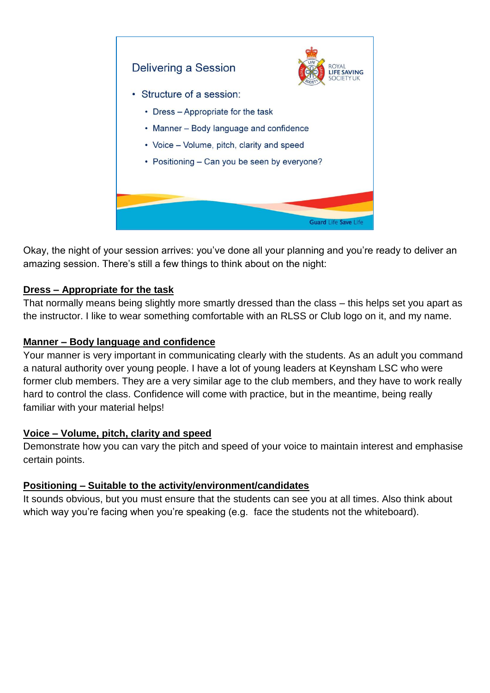

Okay, the night of your session arrives: you've done all your planning and you're ready to deliver an amazing session. There's still a few things to think about on the night:

## **Dress – Appropriate for the task**

That normally means being slightly more smartly dressed than the class – this helps set you apart as the instructor. I like to wear something comfortable with an RLSS or Club logo on it, and my name.

### **Manner – Body language and confidence**

Your manner is very important in communicating clearly with the students. As an adult you command a natural authority over young people. I have a lot of young leaders at Keynsham LSC who were former club members. They are a very similar age to the club members, and they have to work really hard to control the class. Confidence will come with practice, but in the meantime, being really familiar with your material helps!

### **Voice – Volume, pitch, clarity and speed**

Demonstrate how you can vary the pitch and speed of your voice to maintain interest and emphasise certain points.

### **Positioning – Suitable to the activity/environment/candidates**

It sounds obvious, but you must ensure that the students can see you at all times. Also think about which way you're facing when you're speaking (e.g. face the students not the whiteboard).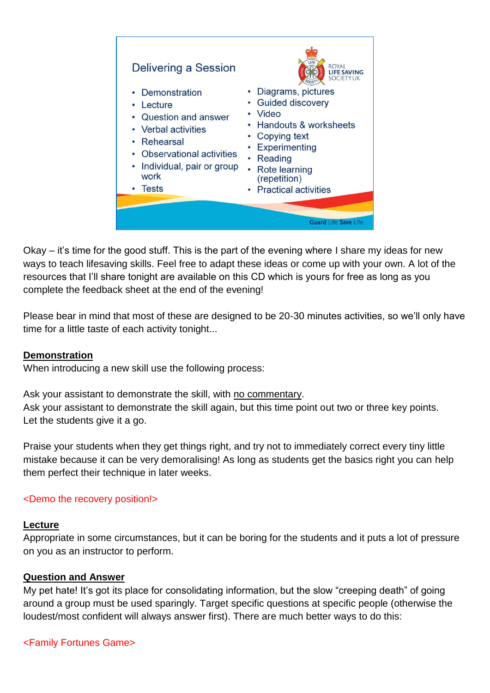

Okay – it's time for the good stuff. This is the part of the evening where I share my ideas for new ways to teach lifesaving skills. Feel free to adapt these ideas or come up with your own. A lot of the resources that I'll share tonight are available on this CD which is yours for free as long as you complete the feedback sheet at the end of the evening!

Please bear in mind that most of these are designed to be 20-30 minutes activities, so we'll only have time for a little taste of each activity tonight...

#### **Demonstration**

When introducing a new skill use the following process:

Ask your assistant to demonstrate the skill, with no commentary. Ask your assistant to demonstrate the skill again, but this time point out two or three key points. Let the students give it a go.

Praise your students when they get things right, and try not to immediately correct every tiny little mistake because it can be very demoralising! As long as students get the basics right you can help them perfect their technique in later weeks.

#### <Demo the recovery position!>

#### **Lecture**

Appropriate in some circumstances, but it can be boring for the students and it puts a lot of pressure on you as an instructor to perform.

#### **Question and Answer**

My pet hate! It's got its place for consolidating information, but the slow "creeping death" of going around a group must be used sparingly. Target specific questions at specific people (otherwise the loudest/most confident will always answer first). There are much better ways to do this:

#### <Family Fortunes Game>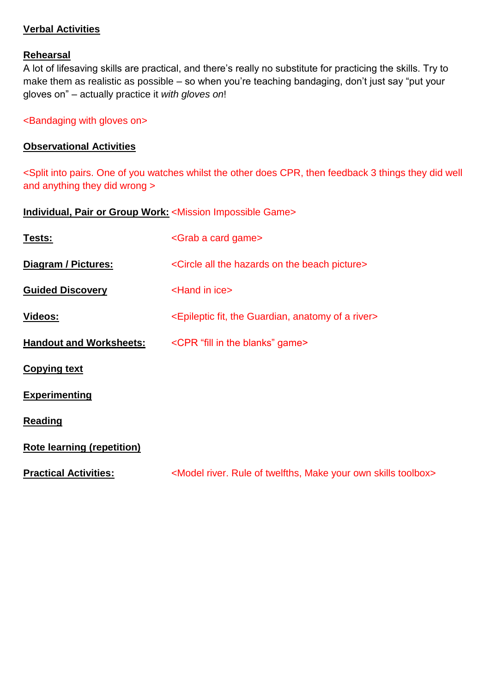#### **Verbal Activities**

#### **Rehearsal**

A lot of lifesaving skills are practical, and there's really no substitute for practicing the skills. Try to make them as realistic as possible – so when you're teaching bandaging, don't just say "put your gloves on" – actually practice it *with gloves on*!

<Bandaging with gloves on>

#### **Observational Activities**

<Split into pairs. One of you watches whilst the other does CPR, then feedback 3 things they did well and anything they did wrong >

**Individual, Pair or Group Work:** <Mission Impossible Game>

| <u>Tests:</u>                     | <grab a="" card="" game=""></grab>                                                               |
|-----------------------------------|--------------------------------------------------------------------------------------------------|
| Diagram / Pictures:               | <circle all="" beach="" hazards="" on="" picture="" the=""></circle>                             |
| <b>Guided Discovery</b>           | <hand ice="" in=""></hand>                                                                       |
| Videos:                           | <epileptic a="" anatomy="" fit,="" guardian,="" of="" river="" the=""></epileptic>               |
| <b>Handout and Worksheets:</b>    | <cpr "fill="" blanks"="" game="" in="" the=""></cpr>                                             |
| <b>Copying text</b>               |                                                                                                  |
| <b>Experimenting</b>              |                                                                                                  |
| <b>Reading</b>                    |                                                                                                  |
| <b>Rote learning (repetition)</b> |                                                                                                  |
| <b>Practical Activities:</b>      | <model make="" of="" own="" river.="" rule="" skills="" toolbox="" twelfths,="" your=""></model> |